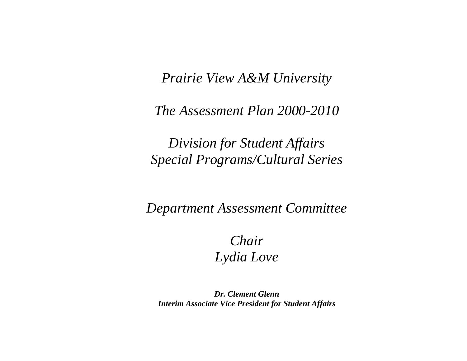*Prairie View A&M University* 

*The Assessment Plan 2000-2010* 

*Division for Student Affairs Special Programs/Cultural Series* 

*Department Assessment Committee* 

*Chair Lydia Love* 

*Dr. Clement Glenn Interim Associate Vice President for Student Affairs*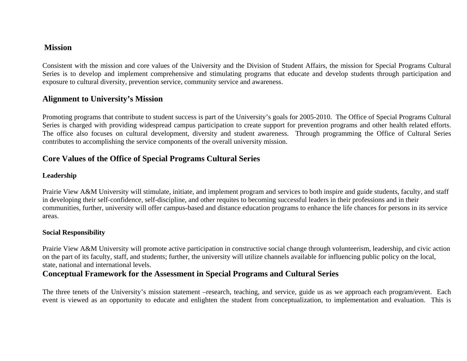## **Mission**

Consistent with the mission and core values of the University and the Division of Student Affairs, the mission for Special Programs Cultural Series is to develop and implement comprehensive and stimulating programs that educate and develop students through participation and exposure to cultural diversity, prevention service, community service and awareness.

# **Alignment to University's Mission**

Promoting programs that contribute to student success is part of the University's goals for 2005-2010. The Office of Special Programs Cultural Series is charged with providing widespread campus participation to create support for prevention programs and other health related efforts. The office also focuses on cultural development, diversity and student awareness. Through programming the Office of Cultural Series contributes to accomplishing the service components of the overall university mission.

# **Core Values of the Office of Special Programs Cultural Series**

#### **Leadership**

Prairie View A&M University will stimulate, initiate, and implement program and services to both inspire and guide students, faculty, and staff in developing their self-confidence, self-discipline, and other requites to becoming successful leaders in their professions and in their communities, further, university will offer campus-based and distance education programs to enhance the life chances for persons in its service areas.

### **Social Responsibility**

Prairie View A&M University will promote active participation in constructive social change through volunteerism, leadership, and civic action on the part of its faculty, staff, and students; further, the university will utilize channels available for influencing public policy on the local, state, national and international levels.

# **Conceptual Framework for the Assessment in Special Programs and Cultural Series**

The three tenets of the University's mission statement –research, teaching, and service, guide us as we approach each program/event. Each event is viewed as an opportunity to educate and enlighten the student from conceptualization, to implementation and evaluation. This is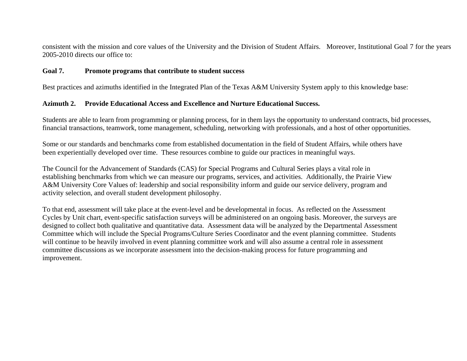consistent with the mission and core values of the University and the Division of Student Affairs. Moreover, Institutional Goal 7 for the years 2005-2010 directs our office to:

#### **Goal 7.Promote programs that contribute to student success**

Best practices and azimuths identified in the Integrated Plan of the Texas A&M University System apply to this knowledge base:

#### **Azimuth 2. Provide Educational Access and Excellence and Nurture Educational Success.**

Students are able to learn from programming or planning process, for in them lays the opportunity to understand contracts, bid processes, financial transactions, teamwork, tome management, scheduling, networking with professionals, and a host of other opportunities.

Some or our standards and benchmarks come from established documentation in the field of Student Affairs, while others have been experientially developed over time. These resources combine to guide our practices in meaningful ways.

The Council for the Advancement of Standards (CAS) for Special Programs and Cultural Series plays a vital role in establishing benchmarks from which we can measure our programs, services, and activities. Additionally, the Prairie View A&M University Core Values of: leadership and social responsibility inform and guide our service delivery, program and activity selection, and overall student development philosophy.

To that end, assessment will take place at the event-level and be developmental in focus. As reflected on the Assessment Cycles by Unit chart, event-specific satisfaction surveys will be administered on an ongoing basis. Moreover, the surveys are designed to collect both qualitative and quantitative data. Assessment data will be analyzed by the Departmental Assessment Committee which will include the Special Programs/Culture Series Coordinator and the event planning committee. Students will continue to be heavily involved in event planning committee work and will also assume a central role in assessment committee discussions as we incorporate assessment into the decision-making process for future programming and improvement.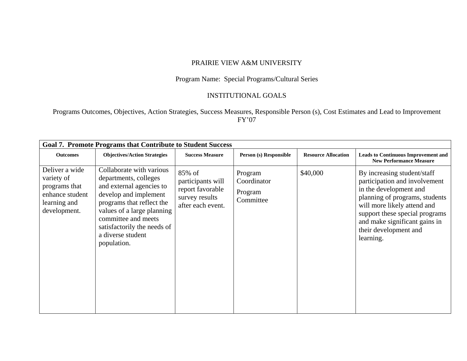#### PRAIRIE VIEW A&M UNIVERSITY

### Program Name: Special Programs/Cultural Series

#### INSTITUTIONAL GOALS

Programs Outcomes, Objectives, Action Strategies, Success Measures, Responsible Person (s), Cost Estimates and Lead to Improvement FY'07

| <b>Goal 7. Promote Programs that Contribute to Student Success</b>                               |                                                                                                                                                                                                                                                             |                                                                                        |                                                |                            |                                                                                                                                                                                                                                                                  |  |  |  |  |  |
|--------------------------------------------------------------------------------------------------|-------------------------------------------------------------------------------------------------------------------------------------------------------------------------------------------------------------------------------------------------------------|----------------------------------------------------------------------------------------|------------------------------------------------|----------------------------|------------------------------------------------------------------------------------------------------------------------------------------------------------------------------------------------------------------------------------------------------------------|--|--|--|--|--|
| <b>Outcomes</b>                                                                                  | <b>Objectives/Action Strategies</b>                                                                                                                                                                                                                         | <b>Success Measure</b>                                                                 | Person (s) Responsible                         | <b>Resource Allocation</b> | <b>Leads to Continuous Improvement and</b><br><b>New Performance Measure</b>                                                                                                                                                                                     |  |  |  |  |  |
| Deliver a wide<br>variety of<br>programs that<br>enhance student<br>learning and<br>development. | Collaborate with various<br>departments, colleges<br>and external agencies to<br>develop and implement<br>programs that reflect the<br>values of a large planning<br>committee and meets<br>satisfactorily the needs of<br>a diverse student<br>population. | 85% of<br>participants will<br>report favorable<br>survey results<br>after each event. | Program<br>Coordinator<br>Program<br>Committee | \$40,000                   | By increasing student/staff<br>participation and involvement<br>in the development and<br>planning of programs, students<br>will more likely attend and<br>support these special programs<br>and make significant gains in<br>their development and<br>learning. |  |  |  |  |  |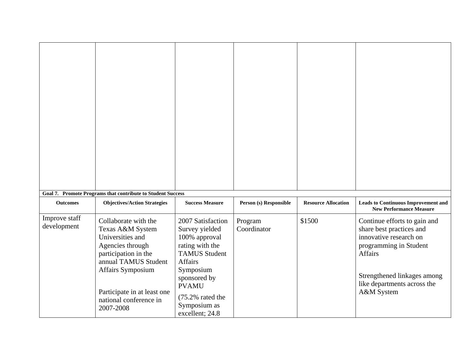| <b>Outcomes</b>              | Goal 7. Promote Programs that contribute to Student Success<br><b>Objectives/Action Strategies</b>                                                                                                                          | <b>Success Measure</b>                                                                                                                                                                                                     | Person (s) Responsible | <b>Resource Allocation</b> | <b>Leads to Continuous Improvement and</b>                                                                                                                                                          |
|------------------------------|-----------------------------------------------------------------------------------------------------------------------------------------------------------------------------------------------------------------------------|----------------------------------------------------------------------------------------------------------------------------------------------------------------------------------------------------------------------------|------------------------|----------------------------|-----------------------------------------------------------------------------------------------------------------------------------------------------------------------------------------------------|
|                              |                                                                                                                                                                                                                             |                                                                                                                                                                                                                            |                        |                            | <b>New Performance Measure</b>                                                                                                                                                                      |
| Improve staff<br>development | Collaborate with the<br>Texas A&M System<br>Universities and<br>Agencies through<br>participation in the<br>annual TAMUS Student<br>Affairs Symposium<br>Participate in at least one<br>national conference in<br>2007-2008 | 2007 Satisfaction<br>Survey yielded<br>100% approval<br>rating with the<br><b>TAMUS Student</b><br>Affairs<br>Symposium<br>sponsored by<br><b>PVAMU</b><br>$(75.2\% \text{ rated the})$<br>Symposium as<br>excellent; 24.8 | Program<br>Coordinator | \$1500                     | Continue efforts to gain and<br>share best practices and<br>innovative research on<br>programming in Student<br>Affairs<br>Strengthened linkages among<br>like departments across the<br>A&M System |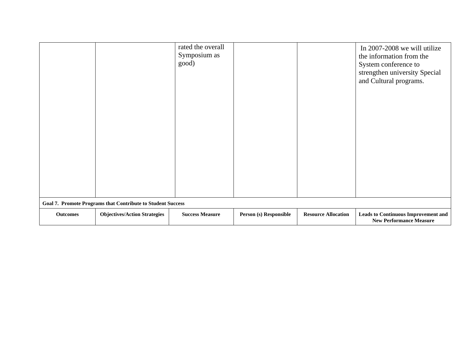|                 |                                                                    | rated the overall<br>Symposium as<br>good) |                        |                            | In 2007-2008 we will utilize<br>the information from the<br>System conference to<br>strengthen university Special<br>and Cultural programs. |
|-----------------|--------------------------------------------------------------------|--------------------------------------------|------------------------|----------------------------|---------------------------------------------------------------------------------------------------------------------------------------------|
|                 | <b>Goal 7. Promote Programs that Contribute to Student Success</b> |                                            |                        |                            |                                                                                                                                             |
| <b>Outcomes</b> | <b>Objectives/Action Strategies</b>                                | <b>Success Measure</b>                     | Person (s) Responsible | <b>Resource Allocation</b> | <b>Leads to Continuous Improvement and</b><br><b>New Performance Measure</b>                                                                |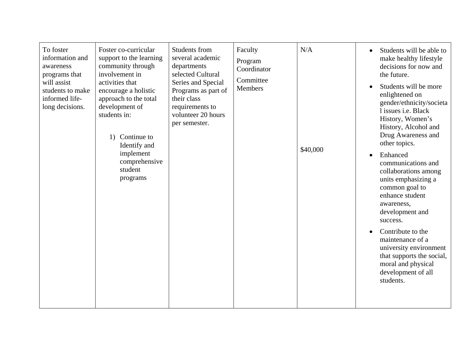| To foster<br>information and<br>awareness<br>programs that<br>will assist<br>students to make<br>informed life-<br>long decisions. | Foster co-curricular<br>support to the learning<br>community through<br>involvement in<br>activities that<br>encourage a holistic<br>approach to the total<br>development of<br>students in:<br>Continue to<br>1)<br>Identify and<br>implement<br>comprehensive<br>student<br>programs | Students from<br>several academic<br>departments<br>selected Cultural<br>Series and Special<br>Programs as part of<br>their class<br>requirements to<br>volunteer 20 hours<br>per semester. | Faculty<br>Program<br>Coordinator<br>Committee<br>Members | N/A<br>\$40,000 | Students will be able to<br>make healthy lifestyle<br>decisions for now and<br>the future.<br>Students will be more<br>enlightened on<br>gender/ethnicity/societa<br>l issues i.e. Black<br>History, Women's<br>History, Alcohol and<br>Drug Awareness and<br>other topics.<br>Enhanced<br>communications and<br>collaborations among<br>units emphasizing a<br>common goal to<br>enhance student<br>awareness,<br>development and<br>success.<br>Contribute to the<br>maintenance of a<br>university environment<br>that supports the social,<br>moral and physical<br>development of all<br>students. |
|------------------------------------------------------------------------------------------------------------------------------------|----------------------------------------------------------------------------------------------------------------------------------------------------------------------------------------------------------------------------------------------------------------------------------------|---------------------------------------------------------------------------------------------------------------------------------------------------------------------------------------------|-----------------------------------------------------------|-----------------|---------------------------------------------------------------------------------------------------------------------------------------------------------------------------------------------------------------------------------------------------------------------------------------------------------------------------------------------------------------------------------------------------------------------------------------------------------------------------------------------------------------------------------------------------------------------------------------------------------|
|------------------------------------------------------------------------------------------------------------------------------------|----------------------------------------------------------------------------------------------------------------------------------------------------------------------------------------------------------------------------------------------------------------------------------------|---------------------------------------------------------------------------------------------------------------------------------------------------------------------------------------------|-----------------------------------------------------------|-----------------|---------------------------------------------------------------------------------------------------------------------------------------------------------------------------------------------------------------------------------------------------------------------------------------------------------------------------------------------------------------------------------------------------------------------------------------------------------------------------------------------------------------------------------------------------------------------------------------------------------|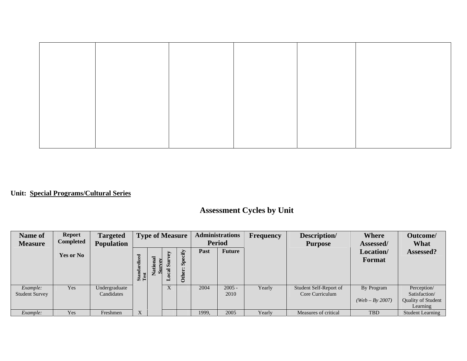# **Unit: Special Programs/Cultural Series**

# **Assessment Cycles by Unit**

| Name of<br><b>Measure</b>         | <b>Report</b><br><b>Completed</b> | <b>Targeted</b><br><b>Population</b> | <b>Type of Measure</b>    |                 | <b>Administrations</b><br><b>Period</b> |                                                    | Frequency | Description/<br><b>Purpose</b> | <b>Where</b><br>Assessed/ | Outcome/<br>What                          |                                 |                                                                       |
|-----------------------------------|-----------------------------------|--------------------------------------|---------------------------|-----------------|-----------------------------------------|----------------------------------------------------|-----------|--------------------------------|---------------------------|-------------------------------------------|---------------------------------|-----------------------------------------------------------------------|
|                                   | Yes or No                         |                                      | dized<br>Standard<br>Test | lational<br>vev | ζã<br>Ĕ<br>Ò.<br>$_{\rm cal}$           | ecify<br>$S_{\rm p}$<br>$\bullet\bullet$<br>Other: | Past      | <b>Future</b>                  |                           |                                           | Location/<br>Format             | Assessed?                                                             |
| Example:<br><b>Student Survey</b> | Yes                               | Undergraduate<br>Candidates          |                           |                 | X                                       |                                                    | 2004      | $2005 -$<br>2010               | Yearly                    | Student Self-Report of<br>Core Curriculum | By Program<br>$(Web - By 2007)$ | Perception/<br>Satisfaction/<br><b>Quality of Student</b><br>Learning |
| Example:                          | Yes                               | Freshmen                             | X                         |                 |                                         |                                                    | 1999.     | 2005                           | Yearly                    | Measures of critical                      | <b>TBD</b>                      | <b>Student Learning</b>                                               |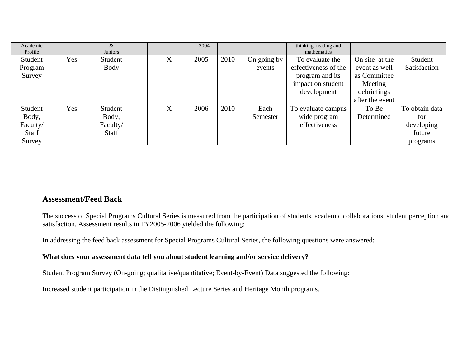| Academic<br>Profile |     | &<br><b>Juniors</b> |   | 2004 |      |             | thinking, reading and<br>mathematics |                 |                |
|---------------------|-----|---------------------|---|------|------|-------------|--------------------------------------|-----------------|----------------|
| Student             | Yes | Student             | X | 2005 | 2010 | On going by | To evaluate the                      | On site at the  | Student        |
| Program             |     | Body                |   |      |      | events      | effectiveness of the                 | event as well   | Satisfaction   |
| Survey              |     |                     |   |      |      |             | program and its                      | as Committee    |                |
|                     |     |                     |   |      |      |             | impact on student                    | Meeting         |                |
|                     |     |                     |   |      |      |             | development                          | debriefings     |                |
|                     |     |                     |   |      |      |             |                                      | after the event |                |
| Student             | Yes | Student             | X | 2006 | 2010 | Each        | To evaluate campus                   | To Be           | To obtain data |
| Body,               |     | Body,               |   |      |      | Semester    | wide program                         | Determined      | for            |
| Faculty/            |     | Faculty/            |   |      |      |             | effectiveness                        |                 | developing     |
| Staff               |     | <b>Staff</b>        |   |      |      |             |                                      |                 | future         |
| Survey              |     |                     |   |      |      |             |                                      |                 | programs       |

# **Assessment/Feed Back**

The success of Special Programs Cultural Series is measured from the participation of students, academic collaborations, student perception and satisfaction. Assessment results in FY2005-2006 yielded the following:

In addressing the feed back assessment for Special Programs Cultural Series, the following questions were answered:

### **What does your assessment data tell you about student learning and/or service delivery?**

Student Program Survey (On-going; qualitative/quantitative; Event-by-Event) Data suggested the following:

Increased student participation in the Distinguished Lecture Series and Heritage Month programs.